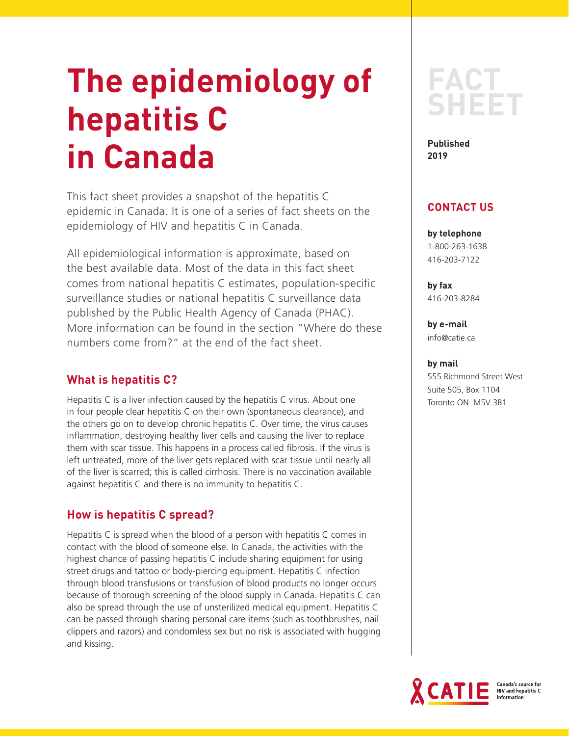# **The epidemiology of hepatitis C in Canada**

This fact sheet provides a snapshot of the hepatitis C epidemic in Canada. It is one of a series of fact sheets on the epidemiology of HIV and hepatitis C in Canada.

All epidemiological information is approximate, based on the best available data. Most of the data in this fact sheet comes from national hepatitis C estimates, population-specific surveillance studies or national hepatitis C surveillance data published by the Public Health Agency of Canada (PHAC). More information can be found in the section "Where do these numbers come from?" at the end of the fact sheet.

# **What is hepatitis C?**

Hepatitis C is a liver infection caused by the hepatitis C virus. About one in four people clear hepatitis C on their own (spontaneous clearance), and the others go on to develop chronic hepatitis C. Over time, the virus causes inflammation, destroying healthy liver cells and causing the liver to replace them with scar tissue. This happens in a process called fibrosis. If the virus is left untreated, more of the liver gets replaced with scar tissue until nearly all of the liver is scarred; this is called cirrhosis. There is no vaccination available against hepatitis C and there is no immunity to hepatitis C.

# **How is hepatitis C spread?**

Hepatitis C is spread when the blood of a person with hepatitis C comes in contact with the blood of someone else. In Canada, the activities with the highest chance of passing hepatitis C include sharing equipment for using street drugs and tattoo or body-piercing equipment. Hepatitis C infection through blood transfusions or transfusion of blood products no longer occurs because of thorough screening of the blood supply in Canada. Hepatitis C can also be spread through the use of unsterilized medical equipment. Hepatitis C can be passed through sharing personal care items (such as toothbrushes, nail clippers and razors) and condomless sex but no risk is associated with hugging and kissing.



**Published 2019**

# **CONTACT US**

**by telephone** 1-800-263-1638 416-203-7122

**by fax** 416-203-8284

**by e-mail** info@catie.ca

## **by mail**

555 Richmond Street West Suite 505, Box 1104 Toronto ON M5V 3B1

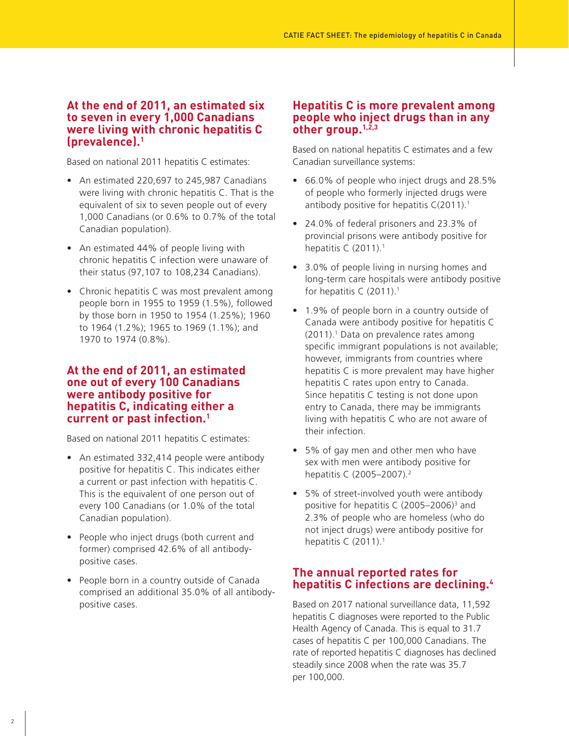## **At the end of 2011, an estimated six to seven in every 1,000 Canadians were living with chronic hepatitis C (prevalence).1**

Based on national 2011 hepatitis C estimates:

- An estimated 220,697 to 245,987 Canadians were living with chronic hepatitis C. That is the equivalent of six to seven people out of every 1,000 Canadians (or 0.6% to 0.7% of the total Canadian population).
- An estimated 44% of people living with chronic hepatitis C infection were unaware of their status (97,107 to 108,234 Canadians).
- Chronic hepatitis C was most prevalent among people born in 1955 to 1959 (1.5%), followed by those born in 1950 to 1954 (1.25%); 1960 to 1964 (1.2%); 1965 to 1969 (1.1%); and 1970 to 1974 (0.8%).

## **At the end of 2011, an estimated one out of every 100 Canadians were antibody positive for hepatitis C, indicating either a current or past infection.1**

Based on national 2011 hepatitis C estimates:

- An estimated 332,414 people were antibody positive for hepatitis C. This indicates either a current or past infection with hepatitis C. This is the equivalent of one person out of every 100 Canadians (or 1.0% of the total Canadian population).
- People who inject drugs (both current and former) comprised 42.6% of all antibodypositive cases.
- People born in a country outside of Canada comprised an additional 35.0% of all antibodypositive cases.

## **Hepatitis C is more prevalent among people who inject drugs than in any other group.1,2,3**

Based on national hepatitis C estimates and a few Canadian surveillance systems:

- 66.0% of people who inject drugs and 28.5% of people who formerly injected drugs were antibody positive for hepatitis  $C(2011).1$
- 24.0% of federal prisoners and 23.3% of provincial prisons were antibody positive for hepatitis C  $(2011).<sup>1</sup>$
- 3.0% of people living in nursing homes and long-term care hospitals were antibody positive for hepatitis C  $(2011).<sup>1</sup>$
- 1.9% of people born in a country outside of Canada were antibody positive for hepatitis C  $(2011).<sup>1</sup>$  Data on prevalence rates among specific immigrant populations is not available; however, immigrants from countries where hepatitis C is more prevalent may have higher hepatitis C rates upon entry to Canada. Since hepatitis C testing is not done upon entry to Canada, there may be immigrants living with hepatitis C who are not aware of their infection.
- 5% of gay men and other men who have sex with men were antibody positive for hepatitis C (2005–2007).2
- 5% of street-involved youth were antibody positive for hepatitis C  $(2005-2006)^3$  and 2.3% of people who are homeless (who do not inject drugs) were antibody positive for hepatitis C (2011).<sup>1</sup>

# **The annual reported rates for hepatitis C infections are declining.4**

Based on 2017 national surveillance data, 11,592 hepatitis C diagnoses were reported to the Public Health Agency of Canada. This is equal to 31.7 cases of hepatitis C per 100,000 Canadians. The rate of reported hepatitis C diagnoses has declined steadily since 2008 when the rate was 35.7 per 100,000.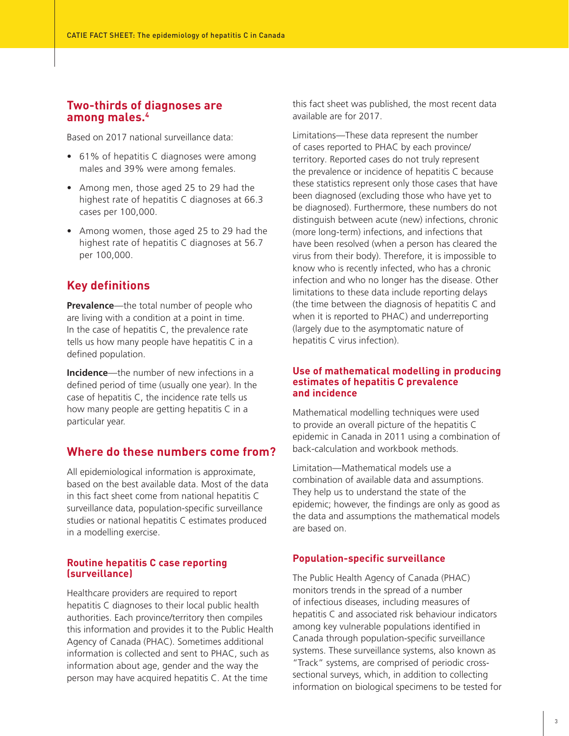# **Two-thirds of diagnoses are among males.4**

Based on 2017 national surveillance data:

- 61% of hepatitis C diagnoses were among males and 39% were among females.
- Among men, those aged 25 to 29 had the highest rate of hepatitis C diagnoses at 66.3 cases per 100,000.
- Among women, those aged 25 to 29 had the highest rate of hepatitis C diagnoses at 56.7 per 100,000.

# **Key definitions**

**Prevalence**—the total number of people who are living with a condition at a point in time. In the case of hepatitis C, the prevalence rate tells us how many people have hepatitis C in a defined population.

**Incidence**—the number of new infections in a defined period of time (usually one year). In the case of hepatitis C, the incidence rate tells us how many people are getting hepatitis C in a particular year.

# **Where do these numbers come from?**

All epidemiological information is approximate, based on the best available data. Most of the data in this fact sheet come from national hepatitis C surveillance data, population-specific surveillance studies or national hepatitis C estimates produced in a modelling exercise.

#### **Routine hepatitis C case reporting (surveillance)**

Healthcare providers are required to report hepatitis C diagnoses to their local public health authorities. Each province/territory then compiles this information and provides it to the Public Health Agency of Canada (PHAC). Sometimes additional information is collected and sent to PHAC, such as information about age, gender and the way the person may have acquired hepatitis C. At the time

this fact sheet was published, the most recent data available are for 2017.

Limitations—These data represent the number of cases reported to PHAC by each province/ territory. Reported cases do not truly represent the prevalence or incidence of hepatitis C because these statistics represent only those cases that have been diagnosed (excluding those who have yet to be diagnosed). Furthermore, these numbers do not distinguish between acute (new) infections, chronic (more long-term) infections, and infections that have been resolved (when a person has cleared the virus from their body). Therefore, it is impossible to know who is recently infected, who has a chronic infection and who no longer has the disease. Other limitations to these data include reporting delays (the time between the diagnosis of hepatitis C and when it is reported to PHAC) and underreporting (largely due to the asymptomatic nature of hepatitis C virus infection).

#### **Use of mathematical modelling in producing estimates of hepatitis C prevalence and incidence**

Mathematical modelling techniques were used to provide an overall picture of the hepatitis C epidemic in Canada in 2011 using a combination of back-calculation and workbook methods.

Limitation—Mathematical models use a combination of available data and assumptions. They help us to understand the state of the epidemic; however, the findings are only as good as the data and assumptions the mathematical models are based on.

## **Population-specific surveillance**

The Public Health Agency of Canada (PHAC) monitors trends in the spread of a number of infectious diseases, including measures of hepatitis C and associated risk behaviour indicators among key vulnerable populations identified in Canada through population-specific surveillance systems. These surveillance systems, also known as "Track" systems, are comprised of periodic crosssectional surveys, which, in addition to collecting information on biological specimens to be tested for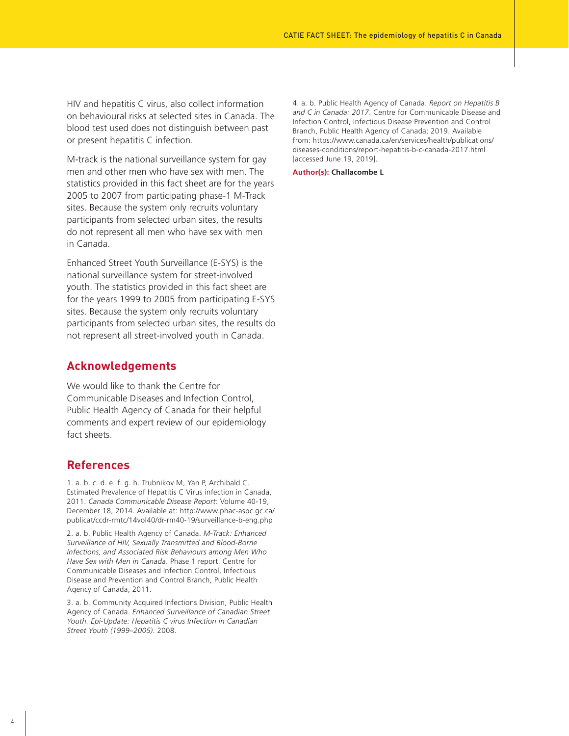HIV and hepatitis C virus, also collect information on behavioural risks at selected sites in Canada. The blood test used does not distinguish between past or present hepatitis C infection.

M-track is the national surveillance system for gay men and other men who have sex with men. The statistics provided in this fact sheet are for the years 2005 to 2007 from participating phase-1 M-Track sites. Because the system only recruits voluntary participants from selected urban sites, the results do not represent all men who have sex with men in Canada.

Enhanced Street Youth Surveillance (E-SYS) is the national surveillance system for street-involved youth. The statistics provided in this fact sheet are for the years 1999 to 2005 from participating E-SYS sites. Because the system only recruits voluntary participants from selected urban sites, the results do not represent all street-involved youth in Canada.

## **Acknowledgements**

We would like to thank the Centre for Communicable Diseases and Infection Control, Public Health Agency of Canada for their helpful comments and expert review of our epidemiology fact sheets.

## **References**

1. a. b. c. d. e. f. g. h. Trubnikov M, Yan P, Archibald C. Estimated Prevalence of Hepatitis C Virus infection in Canada, 2011. *Canada Communicable Disease Report*: Volume 40-19, December 18, 2014. Available at: http://www.phac-aspc.gc.ca/ publicat/ccdr-rmtc/14vol40/dr-rm40-19/surveillance-b-eng.php

2. a. b. Public Health Agency of Canada. *M-Track: Enhanced Surveillance of HIV, Sexually Transmitted and Blood-Borne Infections, and Associated Risk Behaviours among Men Who Have Sex with Men in Canada*. Phase 1 report. Centre for Communicable Diseases and Infection Control, Infectious Disease and Prevention and Control Branch, Public Health Agency of Canada, 2011.

3. a. b. Community Acquired Infections Division, Public Health Agency of Canada. *Enhanced Surveillance of Canadian Street Youth. Epi-Update: Hepatitis C virus Infection in Canadian Street Youth (1999–2005)*. 2008.

4. a. b. Public Health Agency of Canada. *Report on Hepatitis B and C in Canada: 2017*. Centre for Communicable Disease and Infection Control, Infectious Disease Prevention and Control Branch, Public Health Agency of Canada; 2019. Available from: https://www.canada.ca/en/services/health/publications/ diseases-conditions/report-hepatitis-b-c-canada-2017.html [accessed June 19, 2019].

**Author(s): Challacombe L**